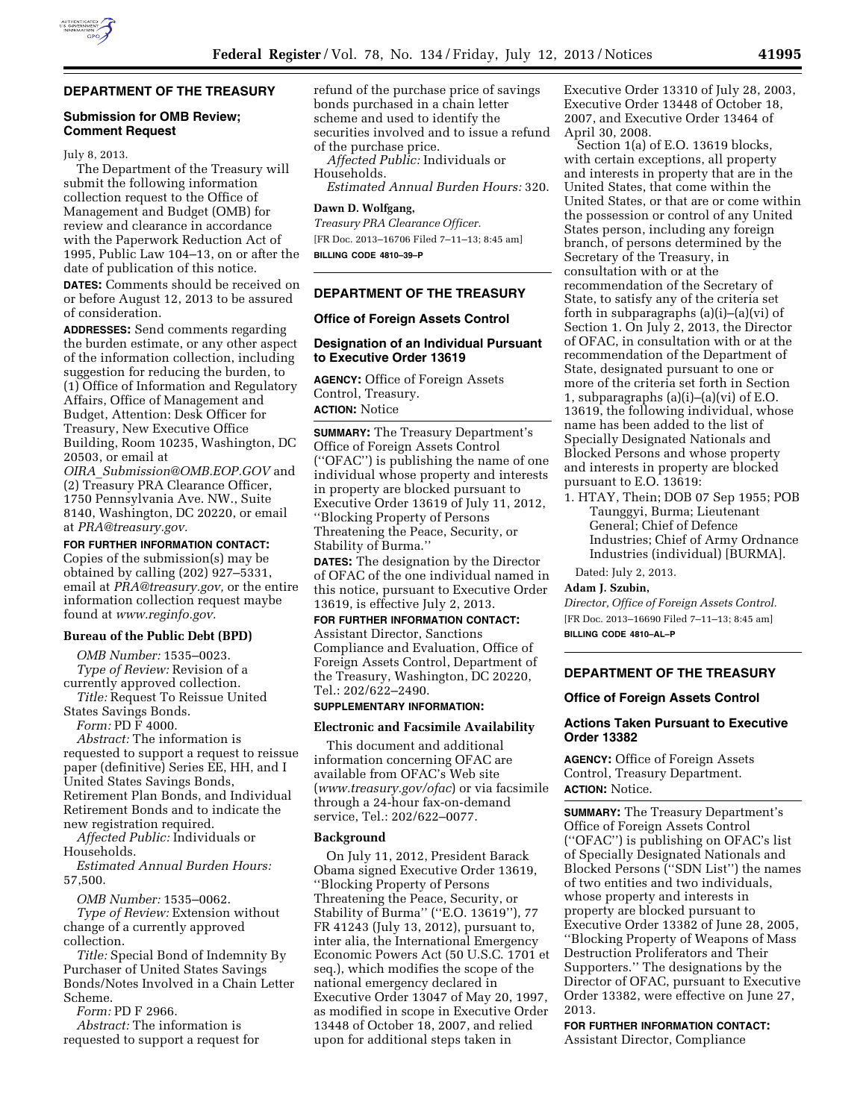# **DEPARTMENT OF THE TREASURY**

#### **Submission for OMB Review; Comment Request**

#### July 8, 2013.

The Department of the Treasury will submit the following information collection request to the Office of Management and Budget (OMB) for review and clearance in accordance with the Paperwork Reduction Act of 1995, Public Law 104–13, on or after the date of publication of this notice.

**DATES:** Comments should be received on or before August 12, 2013 to be assured of consideration.

**ADDRESSES:** Send comments regarding the burden estimate, or any other aspect of the information collection, including suggestion for reducing the burden, to (1) Office of Information and Regulatory Affairs, Office of Management and Budget, Attention: Desk Officer for Treasury, New Executive Office Building, Room 10235, Washington, DC 20503, or email at

*OIRA*\_*[Submission@OMB.EOP.GOV](mailto:OIRA_Submission@OMB.EOP.GOV)* and (2) Treasury PRA Clearance Officer, 1750 Pennsylvania Ave. NW., Suite 8140, Washington, DC 20220, or email at *[PRA@treasury.gov.](mailto:PRA@treasury.gov)* 

**FOR FURTHER INFORMATION CONTACT:**  Copies of the submission(s) may be obtained by calling (202) 927–5331, email at *[PRA@treasury.gov,](mailto:PRA@treasury.gov)* or the entire information collection request maybe found at *[www.reginfo.gov.](http://www.reginfo.gov)* 

#### **Bureau of the Public Debt (BPD)**

*OMB Number:* 1535–0023. *Type of Review:* Revision of a currently approved collection.

*Title:* Request To Reissue United States Savings Bonds.

*Form:* PD F 4000.

*Abstract:* The information is requested to support a request to reissue paper (definitive) Series EE, HH, and I United States Savings Bonds, Retirement Plan Bonds, and Individual Retirement Bonds and to indicate the new registration required.

*Affected Public:* Individuals or Households.

*Estimated Annual Burden Hours:*  57,500.

*OMB Number:* 1535–0062.

*Type of Review:* Extension without change of a currently approved collection.

*Title:* Special Bond of Indemnity By Purchaser of United States Savings Bonds/Notes Involved in a Chain Letter Scheme.

*Form:* PD F 2966.

*Abstract:* The information is requested to support a request for refund of the purchase price of savings bonds purchased in a chain letter scheme and used to identify the securities involved and to issue a refund of the purchase price.

*Affected Public:* Individuals or Households.

*Estimated Annual Burden Hours:* 320.

## **Dawn D. Wolfgang,**

*Treasury PRA Clearance Officer.*  [FR Doc. 2013–16706 Filed 7–11–13; 8:45 am] **BILLING CODE 4810–39–P** 

## **DEPARTMENT OF THE TREASURY**

#### **Office of Foreign Assets Control**

#### **Designation of an Individual Pursuant to Executive Order 13619**

**AGENCY:** Office of Foreign Assets Control, Treasury. **ACTION:** Notice

**SUMMARY:** The Treasury Department's Office of Foreign Assets Control (''OFAC'') is publishing the name of one individual whose property and interests in property are blocked pursuant to Executive Order 13619 of July 11, 2012, ''Blocking Property of Persons Threatening the Peace, Security, or Stability of Burma.''

**DATES:** The designation by the Director of OFAC of the one individual named in this notice, pursuant to Executive Order 13619, is effective July 2, 2013.

## **FOR FURTHER INFORMATION CONTACT:**

Assistant Director, Sanctions Compliance and Evaluation, Office of Foreign Assets Control, Department of the Treasury, Washington, DC 20220, Tel.: 202/622–2490.

#### **SUPPLEMENTARY INFORMATION:**

#### **Electronic and Facsimile Availability**

This document and additional information concerning OFAC are available from OFAC's Web site (*[www.treasury.gov/ofac](http://www.treasury.gov/ofac)*) or via facsimile through a 24-hour fax-on-demand service, Tel.: 202/622–0077.

#### **Background**

On July 11, 2012, President Barack Obama signed Executive Order 13619, ''Blocking Property of Persons Threatening the Peace, Security, or Stability of Burma'' (''E.O. 13619''), 77 FR 41243 (July 13, 2012), pursuant to, inter alia, the International Emergency Economic Powers Act (50 U.S.C. 1701 et seq.), which modifies the scope of the national emergency declared in Executive Order 13047 of May 20, 1997, as modified in scope in Executive Order 13448 of October 18, 2007, and relied upon for additional steps taken in

Executive Order 13310 of July 28, 2003, Executive Order 13448 of October 18, 2007, and Executive Order 13464 of April 30, 2008.

Section 1(a) of E.O. 13619 blocks, with certain exceptions, all property and interests in property that are in the United States, that come within the United States, or that are or come within the possession or control of any United States person, including any foreign branch, of persons determined by the Secretary of the Treasury, in consultation with or at the recommendation of the Secretary of State, to satisfy any of the criteria set forth in subparagraphs (a)(i)–(a)(vi) of Section 1. On July 2, 2013, the Director of OFAC, in consultation with or at the recommendation of the Department of State, designated pursuant to one or more of the criteria set forth in Section 1, subparagraphs  $(a)(i)$ – $(a)(vi)$  of E.O. 13619, the following individual, whose name has been added to the list of Specially Designated Nationals and Blocked Persons and whose property and interests in property are blocked pursuant to E.O. 13619:

1. HTAY, Thein; DOB 07 Sep 1955; POB Taunggyi, Burma; Lieutenant General; Chief of Defence Industries; Chief of Army Ordnance Industries (individual) [BURMA].

Dated: July 2, 2013.

### **Adam J. Szubin,**

*Director, Office of Foreign Assets Control.*  [FR Doc. 2013–16690 Filed 7–11–13; 8:45 am] **BILLING CODE 4810–AL–P** 

### **DEPARTMENT OF THE TREASURY**

## **Office of Foreign Assets Control**

### **Actions Taken Pursuant to Executive Order 13382**

**AGENCY:** Office of Foreign Assets Control, Treasury Department. **ACTION:** Notice.

**SUMMARY:** The Treasury Department's Office of Foreign Assets Control (''OFAC'') is publishing on OFAC's list of Specially Designated Nationals and Blocked Persons (''SDN List'') the names of two entities and two individuals, whose property and interests in property are blocked pursuant to Executive Order 13382 of June 28, 2005, ''Blocking Property of Weapons of Mass Destruction Proliferators and Their Supporters.'' The designations by the Director of OFAC, pursuant to Executive Order 13382, were effective on June 27, 2013.

**FOR FURTHER INFORMATION CONTACT:**  Assistant Director, Compliance